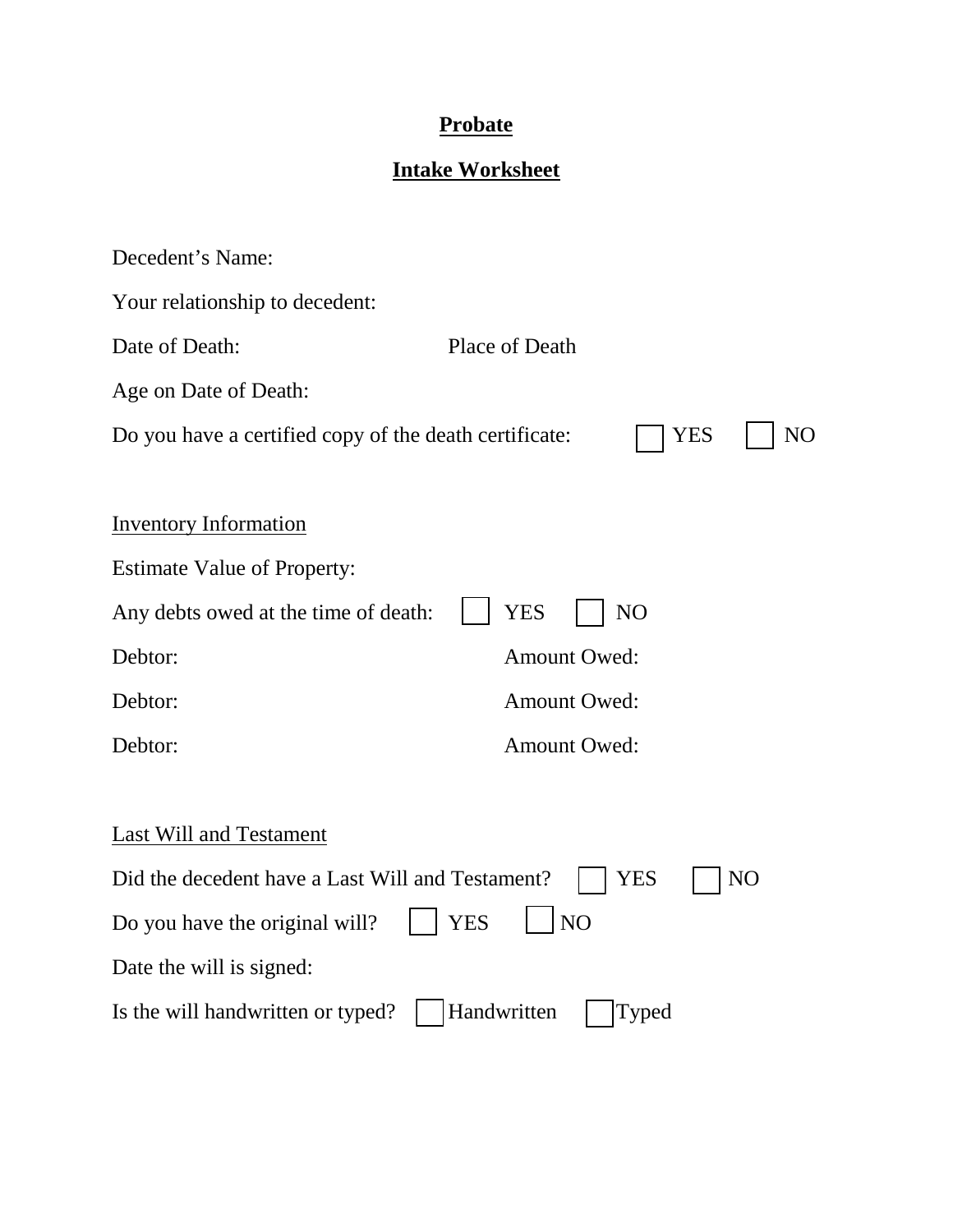## **Probate**

## **Intake Worksheet**

| Decedent's Name:                                                           |                         |  |
|----------------------------------------------------------------------------|-------------------------|--|
| Your relationship to decedent:                                             |                         |  |
| Date of Death:                                                             | Place of Death          |  |
| Age on Date of Death:                                                      |                         |  |
| Do you have a certified copy of the death certificate:<br><b>YES</b><br>NO |                         |  |
|                                                                            |                         |  |
| <b>Inventory Information</b>                                               |                         |  |
| <b>Estimate Value of Property:</b>                                         |                         |  |
| Any debts owed at the time of death:                                       | <b>YES</b><br>NO        |  |
| Debtor:                                                                    | <b>Amount Owed:</b>     |  |
| Debtor:                                                                    | <b>Amount Owed:</b>     |  |
| Debtor:                                                                    | <b>Amount Owed:</b>     |  |
|                                                                            |                         |  |
| <b>Last Will and Testament</b>                                             |                         |  |
| Did the decedent have a Last Will and Testament?                           | NO<br>YES               |  |
| Do you have the original will?                                             | <b>NO</b><br><b>YES</b> |  |
| Date the will is signed:                                                   |                         |  |
| Is the will handwritten or typed?                                          | Handwritten<br>Typed    |  |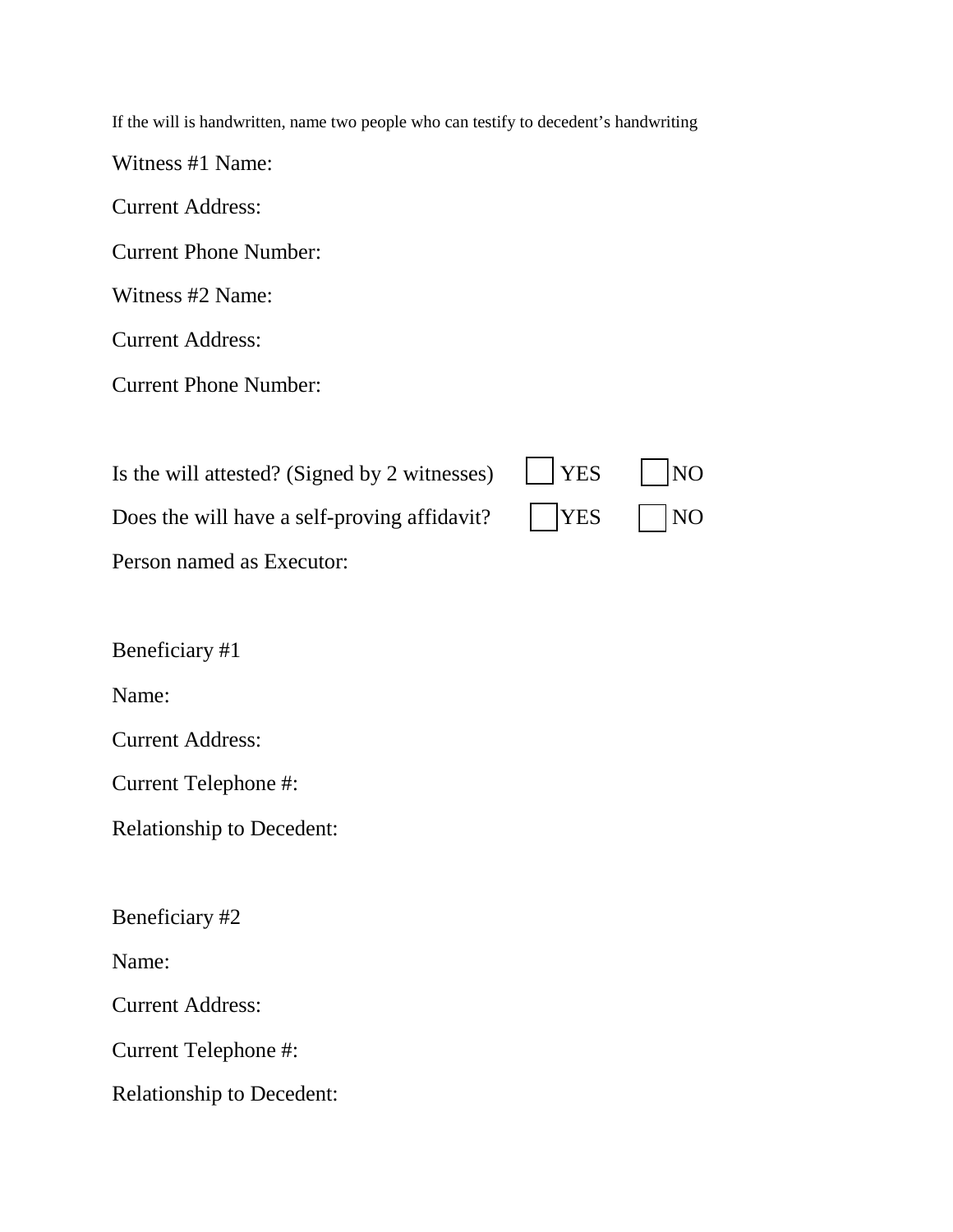If the will is handwritten, name two people who can testify to decedent's handwriting

Witness #1 Name:

Current Address:

Current Phone Number:

Witness #2 Name:

Current Address:

Current Phone Number:

| Is the will attested? (Signed by 2 witnesses) $\Box$ YES $\Box$ NO |  |
|--------------------------------------------------------------------|--|
| Does the will have a self-proving affidavit? $\Box$  YES $\Box$ NO |  |
| Person named as Executor:                                          |  |

Beneficiary #1

Name:

Current Address:

Current Telephone #:

Relationship to Decedent:

Beneficiary #2

Name:

Current Address:

Current Telephone #:

Relationship to Decedent: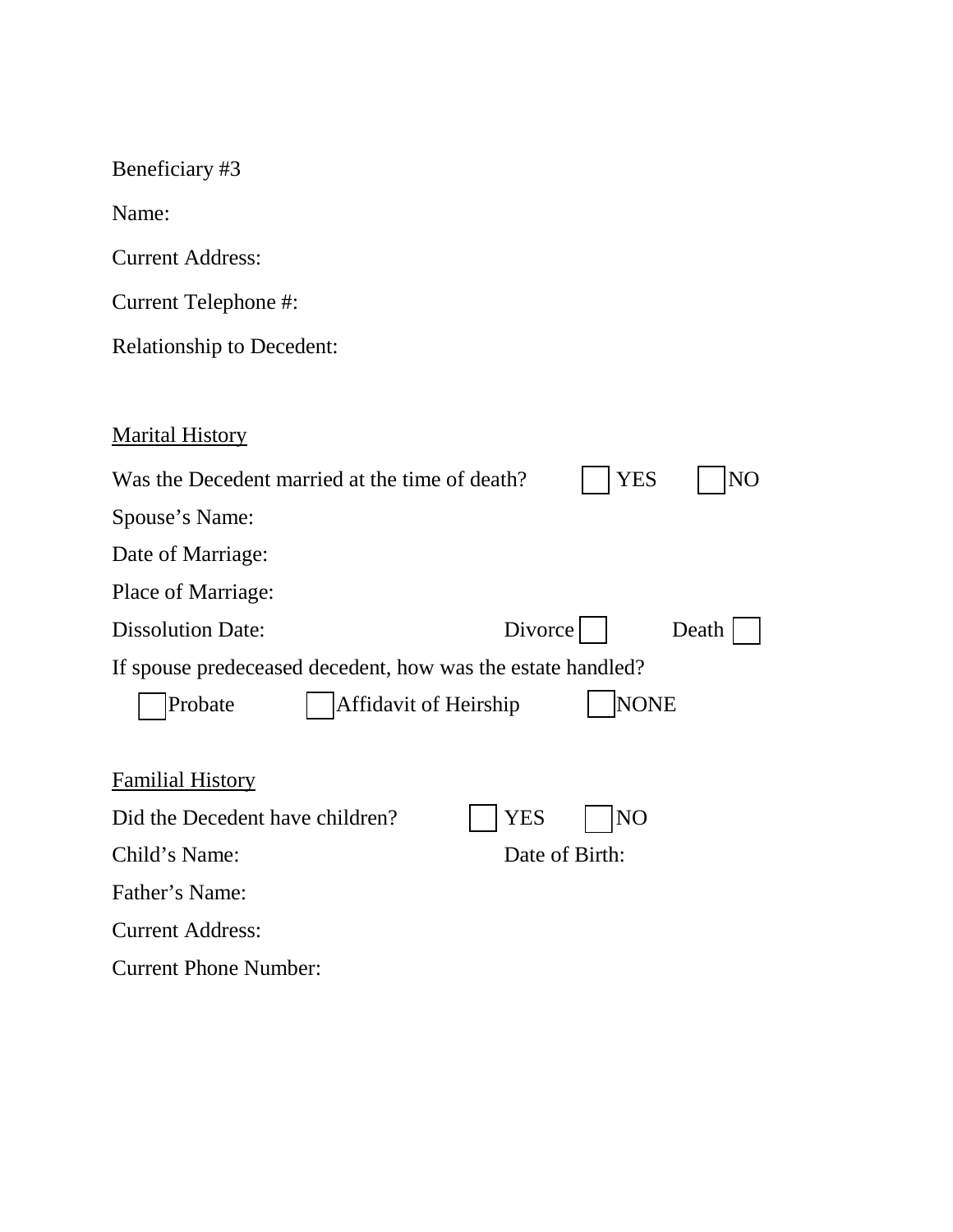| Beneficiary #3                                                          |  |  |  |
|-------------------------------------------------------------------------|--|--|--|
| Name:                                                                   |  |  |  |
| <b>Current Address:</b>                                                 |  |  |  |
| Current Telephone #:                                                    |  |  |  |
| <b>Relationship to Decedent:</b>                                        |  |  |  |
|                                                                         |  |  |  |
| <b>Marital History</b>                                                  |  |  |  |
| Was the Decedent married at the time of death?<br>YES<br>N <sub>O</sub> |  |  |  |
| Spouse's Name:                                                          |  |  |  |
| Date of Marriage:                                                       |  |  |  |
| Place of Marriage:                                                      |  |  |  |
| Divorce<br><b>Dissolution Date:</b><br>Death                            |  |  |  |
| If spouse predeceased decedent, how was the estate handled?             |  |  |  |
| <b>NONE</b><br>Affidavit of Heirship<br>Probate                         |  |  |  |
|                                                                         |  |  |  |
| <b>Familial History</b>                                                 |  |  |  |
| Did the Decedent have children?<br>YES<br>N <sub>O</sub>                |  |  |  |
| Child's Name:<br>Date of Birth:                                         |  |  |  |
| Father's Name:                                                          |  |  |  |
| <b>Current Address:</b>                                                 |  |  |  |
| <b>Current Phone Number:</b>                                            |  |  |  |